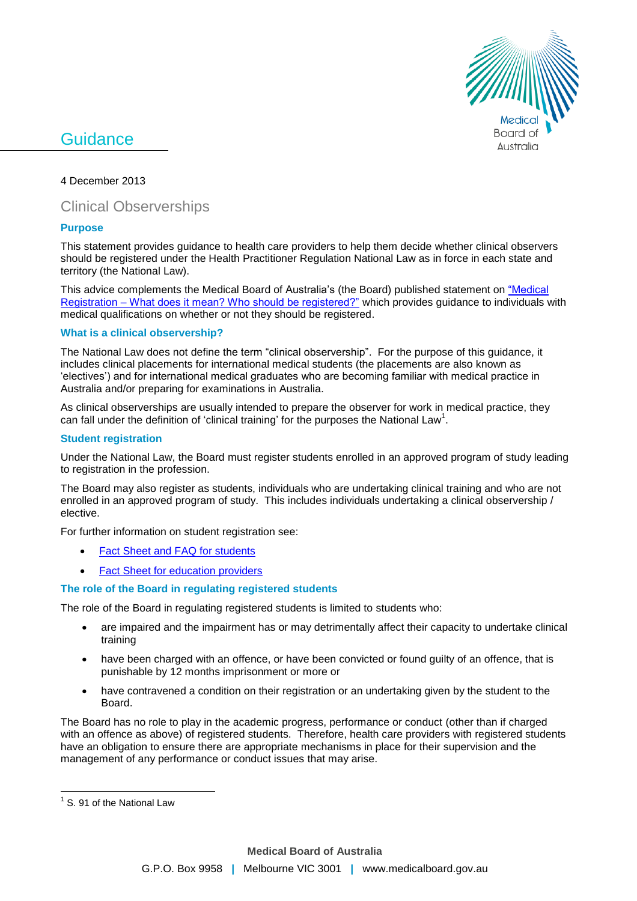

# **Guidance**

4 December 2013

# Clinical Observerships

# **Purpose**

This statement provides guidance to health care providers to help them decide whether clinical observers should be registered under the Health Practitioner Regulation National Law as in force in each state and territory (the National Law).

This advice complements the Medical Board of Australia's (the Board) published statement on "Medical Registration – [What does it mean? Who should be registered?"](http://www.medicalboard.gov.au/Codes-Guidelines-Policies.aspx) which provides guidance to individuals with medical qualifications on whether or not they should be registered.

#### **What is a clinical observership?**

The National Law does not define the term "clinical observership". For the purpose of this guidance, it includes clinical placements for international medical students (the placements are also known as 'electives') and for international medical graduates who are becoming familiar with medical practice in Australia and/or preparing for examinations in Australia.

As clinical observerships are usually intended to prepare the observer for work in medical practice, they can fall under the definition of 'clinical training' for the purposes the National Law<sup>1</sup>.

### **Student registration**

Under the National Law, the Board must register students enrolled in an approved program of study leading to registration in the profession.

The Board may also register as students, individuals who are undertaking clinical training and who are not enrolled in an approved program of study. This includes individuals undertaking a clinical observership / elective.

For further information on student registration see:

- [Fact Sheet and FAQ for students](http://www.medicalboard.gov.au/Registration/Types/Student-Registration.aspx)
- [Fact Sheet for education providers](http://www.medicalboard.gov.au/Registration/Types/Student-Registration.aspx)

# **The role of the Board in regulating registered students**

The role of the Board in regulating registered students is limited to students who:

- are impaired and the impairment has or may detrimentally affect their capacity to undertake clinical training
- have been charged with an offence, or have been convicted or found guilty of an offence, that is punishable by 12 months imprisonment or more or
- have contravened a condition on their registration or an undertaking given by the student to the Board.

The Board has no role to play in the academic progress, performance or conduct (other than if charged with an offence as above) of registered students. Therefore, health care providers with registered students have an obligation to ensure there are appropriate mechanisms in place for their supervision and the management of any performance or conduct issues that may arise.

 $\overline{a}$ 

<sup>&</sup>lt;sup>1</sup> S. 91 of the National Law